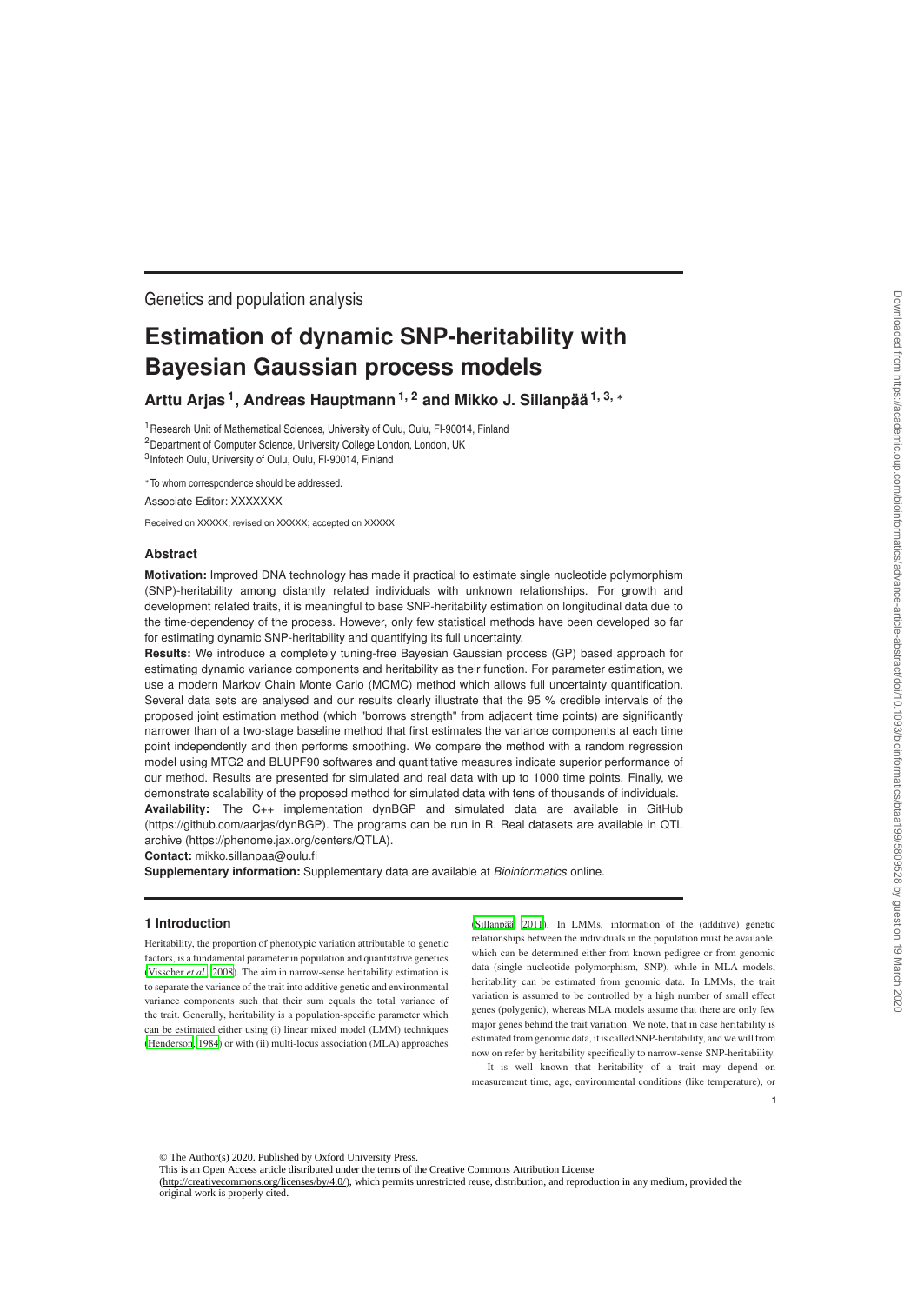Genetics and population analysis

# **Estimation of dynamic SNP-heritability with Bayesian Gaussian process models**

**Arttu Arjas <sup>1</sup> , Andreas Hauptmann1, 2 and Mikko J. Sillanpää 1, 3,** <sup>∗</sup>

<sup>1</sup> Research Unit of Mathematical Sciences, University of Oulu, Oulu, FI-90014, Finland <sup>2</sup>Department of Computer Science, University College London, London, UK <sup>3</sup>Infotech Oulu, University of Oulu, Oulu, FI-90014, Finland

∗To whom correspondence should be addressed.

Associate Editor: XXXXXXX

Received on XXXXX; revised on XXXXX; accepted on XXXXX

# **Abstract**

**Motivation:** Improved DNA technology has made it practical to estimate single nucleotide polymorphism (SNP)-heritability among distantly related individuals with unknown relationships. For growth and development related traits, it is meaningful to base SNP-heritability estimation on longitudinal data due to the time-dependency of the process. However, only few statistical methods have been developed so far for estimating dynamic SNP-heritability and quantifying its full uncertainty.

**Results:** We introduce a completely tuning-free Bayesian Gaussian process (GP) based approach for estimating dynamic variance components and heritability as their function. For parameter estimation, we use a modern Markov Chain Monte Carlo (MCMC) method which allows full uncertainty quantification. Several data sets are analysed and our results clearly illustrate that the 95 % credible intervals of the proposed joint estimation method (which "borrows strength" from adjacent time points) are significantly narrower than of a two-stage baseline method that first estimates the variance components at each time point independently and then performs smoothing. We compare the method with a random regression model using MTG2 and BLUPF90 softwares and quantitative measures indicate superior performance of our method. Results are presented for simulated and real data with up to 1000 time points. Finally, we demonstrate scalability of the proposed method for simulated data with tens of thousands of individuals. **Availability:** The C++ implementation dynBGP and simulated data are available in GitHub (https://github.com/aarjas/dynBGP). The programs can be run in R. Real datasets are available in QTL archive (https://phenome.jax.org/centers/QTLA).

**Contact:** mikko.sillanpaa@oulu.fi

**Supplementary information:** Supplementary data are available at *Bioinformatics* online.

## **1 Introduction**

Heritability, the proportion of phenotypic variation attributable to genetic factors, is a fundamental parameter in population and quantitative genetics (Visscher *et al.*, 2008). The aim in narrow-sense heritability estimation is to separate the variance of the trait into additive genetic and environmental variance components such that their sum equals the total variance of the trait. Generally, heritability is a population-specific parameter which can be estimated either using (i) linear mixed model (LMM) techniques (Henderson, 1984) or with (ii) multi-locus association (MLA) approaches (Sillanpää, 2011). In LMMs, information of the (additive) genetic relationships between the individuals in the population must be available, which can be determined either from known pedigree or from genomic data (single nucleotide polymorphism, SNP), while in MLA models, heritability can be estimated from genomic data. In LMMs, the trait variation is assumed to be controlled by a high number of small effect genes (polygenic), whereas MLA models assume that there are only few major genes behind the trait variation. We note, that in case heritability is estimated from genomic data, it is called SNP-heritability, and we will from now on refer by heritability specifically to narrow-sense SNP-heritability.

It is well known that heritability of a trait may depend on measurement time, age, environmental conditions (like temperature), or

**1**

© The Author(s) 2020. Published by Oxford University Press.

This is an Open Access article distributed under the terms of the Creative Commons Attribution License (http://creativecommons.org/licenses/by/4.0/), which permits unrestricted reuse, distribution, and reproduction in any medium, provided the original work is properly cited.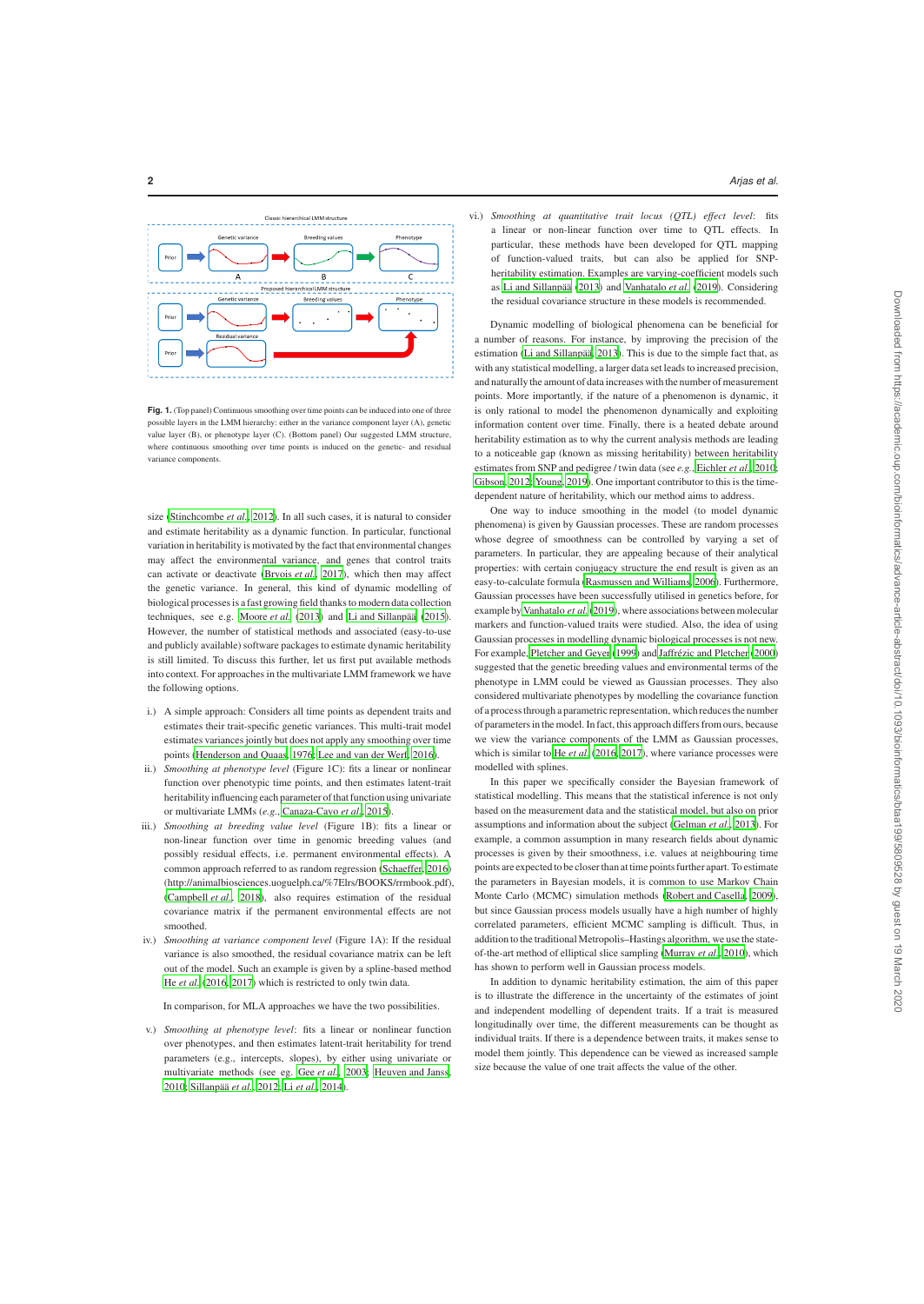

**Fig. 1.** (Top panel) Continuous smoothing over time points can be induced into one of three possible layers in the LMM hierarchy: either in the variance component layer (A), genetic value layer (B), or phenotype layer (C). (Bottom panel) Our suggested LMM structure, where continuous smoothing over time points is induced on the genetic- and residual variance components.

size (Stinchcombe *et al.*, 2012). In all such cases, it is natural to consider and estimate heritability as a dynamic function. In particular, functional variation in heritability is motivated by the fact that environmental changes may affect the environmental variance, and genes that control traits can activate or deactivate (Bryois *et al.*, 2017), which then may affect the genetic variance. In general, this kind of dynamic modelling of biological processes is a fast growing field thanks to modern data collection techniques, see e.g. Moore *et al.* (2013) and Li and Sillanpää (2015). However, the number of statistical methods and associated (easy-to-use and publicly available) software packages to estimate dynamic heritability is still limited. To discuss this further, let us first put available methods into context. For approaches in the multivariate LMM framework we have the following options.

- i.) A simple approach: Considers all time points as dependent traits and estimates their trait-specific genetic variances. This multi-trait model estimates variances jointly but does not apply any smoothing over time points (Henderson and Quaas, 1976; Lee and van der Werf, 2016).
- ii.) *Smoothing at phenotype level* (Figure 1C): fits a linear or nonlinear function over phenotypic time points, and then estimates latent-trait heritability influencing each parameter of that function using univariate or multivariate LMMs (*e.g.*, Canaza-Cayo *et al.*, 2015).
- iii.) *Smoothing at breeding value level* (Figure 1B): fits a linear or non-linear function over time in genomic breeding values (and possibly residual effects, i.e. permanent environmental effects). A common approach referred to as random regression (Schaeffer, 2016) (http://animalbiosciences.uoguelph.ca/%7Elrs/BOOKS/rrmbook.pdf), (Campbell *et al.*, 2018), also requires estimation of the residual covariance matrix if the permanent environmental effects are not smoothed.
- iv.) *Smoothing at variance component level* (Figure 1A): If the residual variance is also smoothed, the residual covariance matrix can be left out of the model. Such an example is given by a spline-based method He *et al.* (2016, 2017) which is restricted to only twin data.

In comparison, for MLA approaches we have the two possibilities.

v.) *Smoothing at phenotype level*: fits a linear or nonlinear function over phenotypes, and then estimates latent-trait heritability for trend parameters (e.g., intercepts, slopes), by either using univariate or multivariate methods (see eg. Gee *et al.*, 2003; Heuven and Janss, 2010; Sillanpää *et al.*, 2012; Li *et al.*, 2014).

**2** *Arjas et al.*

vi.) *Smoothing at quantitative trait locus (QTL) effect level*: fits a linear or non-linear function over time to QTL effects. In particular, these methods have been developed for QTL mapping of function-valued traits, but can also be applied for SNPheritability estimation. Examples are varying-coefficient models such as Li and Sillanpää (2013) and Vanhatalo *et al.* (2019). Considering the residual covariance structure in these models is recommended.

Dynamic modelling of biological phenomena can be beneficial for a number of reasons. For instance, by improving the precision of the estimation (Li and Sillanpää, 2013). This is due to the simple fact that, as with any statistical modelling, a larger data set leads to increased precision, and naturally the amount of data increases with the number of measurement points. More importantly, if the nature of a phenomenon is dynamic, it is only rational to model the phenomenon dynamically and exploiting information content over time. Finally, there is a heated debate around heritability estimation as to why the current analysis methods are leading to a noticeable gap (known as missing heritability) between heritability estimates from SNP and pedigree / twin data (see *e.g.*, Eichler *et al.*, 2010; Gibson, 2012; Young, 2019). One important contributor to this is the timedependent nature of heritability, which our method aims to address.

One way to induce smoothing in the model (to model dynamic phenomena) is given by Gaussian processes. These are random processes whose degree of smoothness can be controlled by varying a set of parameters. In particular, they are appealing because of their analytical properties: with certain conjugacy structure the end result is given as an easy-to-calculate formula (Rasmussen and Williams, 2006). Furthermore, Gaussian processes have been successfully utilised in genetics before, for example by Vanhatalo *et al.*(2019), where associations between molecular markers and function-valued traits were studied. Also, the idea of using Gaussian processes in modelling dynamic biological processes is not new. For example, Pletcher and Geyer (1999) and Jaffrézic and Pletcher (2000) suggested that the genetic breeding values and environmental terms of the phenotype in LMM could be viewed as Gaussian processes. They also considered multivariate phenotypes by modelling the covariance function of a process through a parametric representation, which reduces the number of parameters in the model. In fact, this approach differs from ours, because we view the variance components of the LMM as Gaussian processes, which is similar to He *et al.* (2016, 2017), where variance processes were modelled with splines.

In this paper we specifically consider the Bayesian framework of statistical modelling. This means that the statistical inference is not only based on the measurement data and the statistical model, but also on prior assumptions and information about the subject (Gelman *et al.*, 2013). For example, a common assumption in many research fields about dynamic processes is given by their smoothness, i.e. values at neighbouring time points are expected to be closer than at time points further apart. To estimate the parameters in Bayesian models, it is common to use Markov Chain Monte Carlo (MCMC) simulation methods (Robert and Casella, 2009), but since Gaussian process models usually have a high number of highly correlated parameters, efficient MCMC sampling is difficult. Thus, in addition to the traditional Metropolis–Hastings algorithm, we use the stateof-the-art method of elliptical slice sampling (Murray *et al.*, 2010), which has shown to perform well in Gaussian process models.

In addition to dynamic heritability estimation, the aim of this paper is to illustrate the difference in the uncertainty of the estimates of joint and independent modelling of dependent traits. If a trait is measured longitudinally over time, the different measurements can be thought as individual traits. If there is a dependence between traits, it makes sense to model them jointly. This dependence can be viewed as increased sample size because the value of one trait affects the value of the other.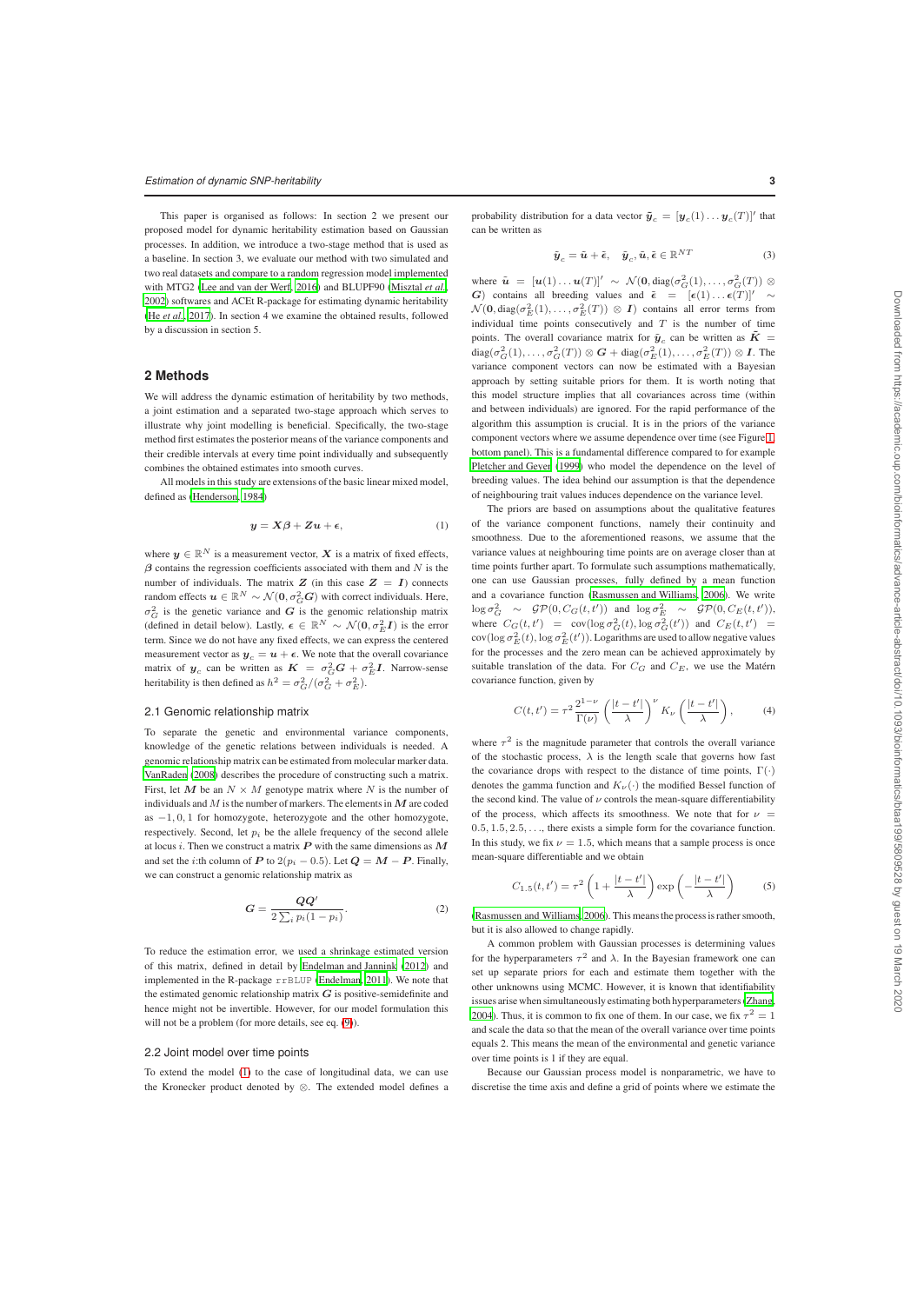This paper is organised as follows: In section 2 we present our proposed model for dynamic heritability estimation based on Gaussian processes. In addition, we introduce a two-stage method that is used as a baseline. In section 3, we evaluate our method with two simulated and two real datasets and compare to a random regression model implemented with MTG2 (Lee and van der Werf, 2016) and BLUPF90 (Misztal *et al.*, 2002) softwares and ACEt R-package for estimating dynamic heritability (He *et al.*, 2017). In section 4 we examine the obtained results, followed by a discussion in section 5.

#### **2 Methods**

We will address the dynamic estimation of heritability by two methods, a joint estimation and a separated two-stage approach which serves to illustrate why joint modelling is beneficial. Specifically, the two-stage method first estimates the posterior means of the variance components and their credible intervals at every time point individually and subsequently combines the obtained estimates into smooth curves.

All models in this study are extensions of the basic linear mixed model, defined as (Henderson, 1984)

$$
y = X\beta + Zu + \epsilon,\tag{1}
$$

where  $y \in \mathbb{R}^N$  is a measurement vector, X is a matrix of fixed effects,  $\beta$  contains the regression coefficients associated with them and N is the number of individuals. The matrix  $Z$  (in this case  $Z = I$ ) connects random effects  $\mathbf{u} \in \mathbb{R}^N \sim \mathcal{N}(\mathbf{0}, \sigma_G^2 \mathbf{G})$  with correct individuals. Here,  $\sigma_G^2$  is the genetic variance and G is the genomic relationship matrix (defined in detail below). Lastly,  $\epsilon \in \mathbb{R}^N \sim \mathcal{N}(0, \sigma_E^2 I)$  is the error term. Since we do not have any fixed effects, we can express the centered measurement vector as  $y_c = u + \epsilon$ . We note that the overall covariance matrix of  $y_c$  can be written as  $K = \sigma_G^2 G + \sigma_E^2 I$ . Narrow-sense heritability is then defined as  $h^2 = \frac{\sigma_G^2}{(\sigma_G^2 + \sigma_E^2)}$ .

#### 2.1 Genomic relationship matrix

To separate the genetic and environmental variance components, knowledge of the genetic relations between individuals is needed. A genomic relationship matrix can be estimated from molecular marker data. VanRaden (2008) describes the procedure of constructing such a matrix. First, let  $M$  be an  $N \times M$  genotype matrix where N is the number of individuals and M is the number of markers. The elements in  $M$  are coded as  $-1, 0, 1$  for homozygote, heterozygote and the other homozygote, respectively. Second, let  $p_i$  be the allele frequency of the second allele at locus *i*. Then we construct a matrix  $P$  with the same dimensions as  $M$ and set the *i*:th column of P to  $2(p_i - 0.5)$ . Let  $Q = M - P$ . Finally, we can construct a genomic relationship matrix as

$$
G = \frac{QQ'}{2\sum_{i} p_i (1 - p_i)}.
$$
 (2)

To reduce the estimation error, we used a shrinkage estimated version of this matrix, defined in detail by Endelman and Jannink (2012) and implemented in the R-package rrBLUP (Endelman, 2011). We note that the estimated genomic relationship matrix  $G$  is positive-semidefinite and hence might not be invertible. However, for our model formulation this will not be a problem (for more details, see eq.  $(9)$ ).

#### 2.2 Joint model over time points

To extend the model (1) to the case of longitudinal data, we can use the Kronecker product denoted by ⊗. The extended model defines a

probability distribution for a data vector  $\tilde{\boldsymbol{y}}_c = [\boldsymbol{y}_c(1) \dots \boldsymbol{y}_c(T)]'$  that can be written as

$$
\tilde{\boldsymbol{y}}_c = \tilde{\boldsymbol{u}} + \tilde{\boldsymbol{\epsilon}}, \quad \tilde{\boldsymbol{y}}_c, \tilde{\boldsymbol{u}}, \tilde{\boldsymbol{\epsilon}} \in \mathbb{R}^{NT}
$$
\n(3)

where  $\tilde{\boldsymbol{u}} = [\boldsymbol{u}(1) \dots \boldsymbol{u}(T)]' \sim \mathcal{N}(\boldsymbol{0}, \text{diag}(\sigma_G^2(1), \dots, \sigma_G^2(T)) \otimes$ G) contains all breeding values and  $\tilde{\epsilon} = [\epsilon(1) \dots \epsilon(T)]'$  $\mathcal{N}(\mathbf{0}, \text{diag}(\sigma_E^2(1), \dots, \sigma_E^2(T)) \otimes \mathbf{I})$  contains all error terms from individual time points consecutively and  $T$  is the number of time points. The overall covariance matrix for  $\tilde{\mathbf{y}}_c$  can be written as  $\tilde{\mathbf{K}} =$  $diag(\sigma_G^2(1), \ldots, \sigma_G^2(T)) \otimes G + diag(\sigma_E^2(1), \ldots, \sigma_E^2(T)) \otimes I$ . The variance component vectors can now be estimated with a Bayesian approach by setting suitable priors for them. It is worth noting that this model structure implies that all covariances across time (within and between individuals) are ignored. For the rapid performance of the algorithm this assumption is crucial. It is in the priors of the variance component vectors where we assume dependence over time (see Figure 1, bottom panel). This is a fundamental difference compared to for example Pletcher and Geyer (1999) who model the dependence on the level of breeding values. The idea behind our assumption is that the dependence of neighbouring trait values induces dependence on the variance level.

The priors are based on assumptions about the qualitative features of the variance component functions, namely their continuity and smoothness. Due to the aforementioned reasons, we assume that the variance values at neighbouring time points are on average closer than at time points further apart. To formulate such assumptions mathematically, one can use Gaussian processes, fully defined by a mean function and a covariance function (Rasmussen and Williams, 2006). We write  $\log \sigma_G^2 \sim \mathcal{GP}(0, C_G(t, t'))$  and  $\log \sigma_E^2 \sim \mathcal{GP}(0, C_E(t, t')),$ where  $C_G(t, t') = \text{cov}(\log \sigma_G^2(t), \log \sigma_G^2(t'))$  and  $C_E(t, t') =$  $\text{cov}(\log \sigma_E^2(t), \log \sigma_E^2(t'))$ . Logarithms are used to allow negative values for the processes and the zero mean can be achieved approximately by suitable translation of the data. For  $C_G$  and  $C_E$ , we use the Matérn covariance function, given by

$$
C(t, t') = \tau^2 \frac{2^{1-\nu}}{\Gamma(\nu)} \left(\frac{|t - t'|}{\lambda}\right)^{\nu} K_{\nu} \left(\frac{|t - t'|}{\lambda}\right), \tag{4}
$$

where  $\tau^2$  is the magnitude parameter that controls the overall variance of the stochastic process,  $\lambda$  is the length scale that governs how fast the covariance drops with respect to the distance of time points,  $\Gamma(\cdot)$ denotes the gamma function and  $K_{\nu}(\cdot)$  the modified Bessel function of the second kind. The value of  $\nu$  controls the mean-square differentiability of the process, which affects its smoothness. We note that for  $\nu =$  $0.5, 1.5, 2.5, \ldots$ , there exists a simple form for the covariance function. In this study, we fix  $\nu = 1.5$ , which means that a sample process is once mean-square differentiable and we obtain

$$
C_{1.5}(t, t') = \tau^2 \left( 1 + \frac{|t - t'|}{\lambda} \right) \exp\left( -\frac{|t - t'|}{\lambda} \right) \tag{5}
$$

(Rasmussen and Williams, 2006). This means the process is rather smooth, but it is also allowed to change rapidly.

A common problem with Gaussian processes is determining values for the hyperparameters  $\tau^2$  and  $\lambda$ . In the Bayesian framework one can set up separate priors for each and estimate them together with the other unknowns using MCMC. However, it is known that identifiability issues arise when simultaneously estimating both hyperparameters (Zhang, 2004). Thus, it is common to fix one of them. In our case, we fix  $\tau^2 = 1$ and scale the data so that the mean of the overall variance over time points equals 2. This means the mean of the environmental and genetic variance over time points is 1 if they are equal.

Because our Gaussian process model is nonparametric, we have to discretise the time axis and define a grid of points where we estimate the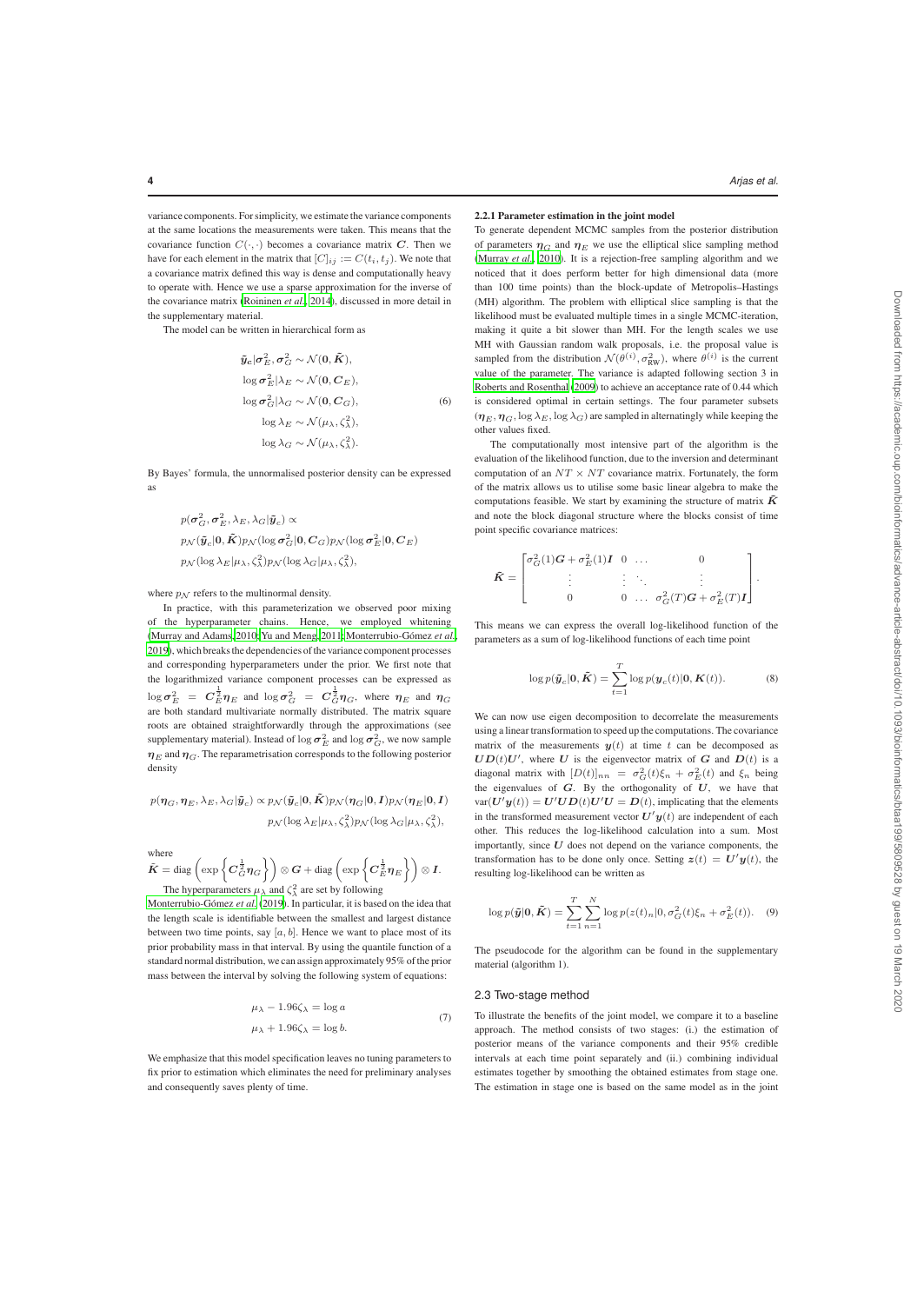variance components. For simplicity, we estimate the variance components at the same locations the measurements were taken. This means that the covariance function  $C(\cdot, \cdot)$  becomes a covariance matrix C. Then we have for each element in the matrix that  $[C]_{ij} := C(t_i, t_j)$ . We note that a covariance matrix defined this way is dense and computationally heavy to operate with. Hence we use a sparse approximation for the inverse of the covariance matrix (Roininen *et al.*, 2014), discussed in more detail in the supplementary material.

The model can be written in hierarchical form as

$$
\tilde{\mathbf{y}}_{c} | \sigma_{E}^{2}, \sigma_{G}^{2} \sim \mathcal{N}(0, \tilde{K}),
$$
  
\n
$$
\log \sigma_{E}^{2} | \lambda_{E} \sim \mathcal{N}(0, C_{E}),
$$
  
\n
$$
\log \sigma_{G}^{2} | \lambda_{G} \sim \mathcal{N}(0, C_{G}),
$$
  
\n
$$
\log \lambda_{E} \sim \mathcal{N}(\mu_{\lambda}, \zeta_{\lambda}^{2}),
$$
  
\n
$$
\log \lambda_{G} \sim \mathcal{N}(\mu_{\lambda}, \zeta_{\lambda}^{2}).
$$
\n(6)

By Bayes' formula, the unnormalised posterior density can be expressed as

$$
p(\sigma_G^2, \sigma_E^2, \lambda_E, \lambda_G | \tilde{\mathbf{y}}_c) \propto
$$
  
\n
$$
p_N(\tilde{\mathbf{y}}_c | \mathbf{0}, \tilde{K}) p_N(\log \sigma_G^2 | \mathbf{0}, \mathbf{C}_G) p_N(\log \sigma_E^2 | \mathbf{0}, \mathbf{C}_E)
$$
  
\n
$$
p_N(\log \lambda_E | \mu_\lambda, \zeta_\lambda^2) p_N(\log \lambda_G | \mu_\lambda, \zeta_\lambda^2),
$$

where  $p_N$  refers to the multinormal density.

In practice, with this parameterization we observed poor mixing of the hyperparameter chains. Hence, we employed whitening (Murray and Adams, 2010; Yu and Meng, 2011; Monterrubio-Gómez et al., 2019), which breaks the dependencies of the variance component processes and corresponding hyperparameters under the prior. We first note that the logarithmized variance component processes can be expressed as  $\log \sigma_E^2$  =  $C_E^{\frac{1}{2}} \eta_E$  and  $\log \sigma_G^2$  =  $C_G^{\frac{1}{2}} \eta_G$ , where  $\eta_E$  and  $\eta_G$ are both standard multivariate normally distributed. The matrix square roots are obtained straightforwardly through the approximations (see supplementary material). Instead of  $\log \sigma_E^2$  and  $\log \sigma_G^2$ , we now sample  $\eta_E$  and  $\eta_G$ . The reparametrisation corresponds to the following posterior density

$$
\begin{split} p(\pmb{\eta}_{G},\pmb{\eta}_{E},\lambda_{E},\lambda_{G}|\tilde{\pmb{y}}_{c}) & \propto p_{\mathcal{N}}(\tilde{\pmb{y}}_{c}|\mathbf{0},\tilde{\pmb{K}})p_{\mathcal{N}}(\pmb{\eta}_{G}|\mathbf{0},\pmb{I})p_{\mathcal{N}}(\pmb{\eta}_{E}|\mathbf{0},\pmb{I})\\ & p_{\mathcal{N}}(\log\lambda_{E}|\mu_{\lambda},\zeta^{2}_{\lambda})p_{\mathcal{N}}(\log\lambda_{G}|\mu_{\lambda},\zeta^{2}_{\lambda}), \end{split}
$$

where

$$
\tilde{K} = \text{diag}\left(\exp\left\{C_G^{\frac{1}{2}} \eta_G\right\}\right) \otimes G + \text{diag}\left(\exp\left\{C_E^{\frac{1}{2}} \eta_E\right\}\right) \otimes I.
$$
\nThe hyperparameters  $\mu_{\lambda}$  and  $\zeta_{\lambda}^2$  are set by following

Monterrubio-Gómez *et al.* (2019). In particular, it is based on the idea that the length scale is identifiable between the smallest and largest distance between two time points, say  $[a, b]$ . Hence we want to place most of its prior probability mass in that interval. By using the quantile function of a standard normal distribution, we can assign approximately 95% of the prior mass between the interval by solving the following system of equations:

$$
\mu_{\lambda} - 1.96\zeta_{\lambda} = \log a
$$
  

$$
\mu_{\lambda} + 1.96\zeta_{\lambda} = \log b.
$$
 (7)

We emphasize that this model specification leaves no tuning parameters to fix prior to estimation which eliminates the need for preliminary analyses and consequently saves plenty of time.

# 2.2.1 Parameter estimation in the joint model

To generate dependent MCMC samples from the posterior distribution of parameters  $\eta_G$  and  $\eta_E$  we use the elliptical slice sampling method (Murray *et al.*, 2010). It is a rejection-free sampling algorithm and we noticed that it does perform better for high dimensional data (more than 100 time points) than the block-update of Metropolis–Hastings (MH) algorithm. The problem with elliptical slice sampling is that the likelihood must be evaluated multiple times in a single MCMC-iteration, making it quite a bit slower than MH. For the length scales we use MH with Gaussian random walk proposals, i.e. the proposal value is sampled from the distribution  $\mathcal{N}(\theta^{(i)}, \sigma_{RW}^2)$ , where  $\theta^{(i)}$  is the current value of the parameter. The variance is adapted following section 3 in Roberts and Rosenthal (2009) to achieve an acceptance rate of 0.44 which is considered optimal in certain settings. The four parameter subsets  $(\eta_E, \eta_G, \log \lambda_E, \log \lambda_G)$  are sampled in alternatingly while keeping the other values fixed.

The computationally most intensive part of the algorithm is the evaluation of the likelihood function, due to the inversion and determinant computation of an  $NT \times NT$  covariance matrix. Fortunately, the form of the matrix allows us to utilise some basic linear algebra to make the computations feasible. We start by examining the structure of matrix  $\tilde{K}$ and note the block diagonal structure where the blocks consist of time point specific covariance matrices:

$$
\tilde{\boldsymbol{K}} = \begin{bmatrix} \sigma_G^2(1)\boldsymbol{G} + \sigma_E^2(1)\boldsymbol{I} & 0 & \dots & 0 \\ \vdots & \vdots & \ddots & \vdots \\ 0 & 0 & \dots & \sigma_G^2(T)\boldsymbol{G} + \sigma_E^2(T)\boldsymbol{I} \end{bmatrix}.
$$

This means we can express the overall log-likelihood function of the parameters as a sum of log-likelihood functions of each time point

$$
\log p(\tilde{\boldsymbol{y}}_c | \boldsymbol{0}, \tilde{\boldsymbol{K}}) = \sum_{t=1}^T \log p(\boldsymbol{y}_c(t) | \boldsymbol{0}, \boldsymbol{K}(t)).
$$
 (8)

We can now use eigen decomposition to decorrelate the measurements using a linear transformation to speed up the computations. The covariance matrix of the measurements  $y(t)$  at time t can be decomposed as  $\boldsymbol{U}\boldsymbol{D}(t)\boldsymbol{U}'$ , where  $\boldsymbol{U}$  is the eigenvector matrix of  $\boldsymbol{G}$  and  $\boldsymbol{D}(t)$  is a diagonal matrix with  $[D(t)]_{nn} = \sigma_G^2(t)\xi_n + \sigma_E^2(t)$  and  $\xi_n$  being the eigenvalues of  $G$ . By the orthogonality of  $U$ , we have that  $var(U' y(t)) = U' U D(t) U' U = D(t)$ , implicating that the elements in the transformed measurement vector  $U'y(t)$  are independent of each other. This reduces the log-likelihood calculation into a sum. Most importantly, since  $U$  does not depend on the variance components, the transformation has to be done only once. Setting  $z(t) = U'y(t)$ , the resulting log-likelihood can be written as

$$
\log p(\tilde{\mathbf{y}}|\mathbf{0}, \tilde{\mathbf{K}}) = \sum_{t=1}^{T} \sum_{n=1}^{N} \log p(z(t)_n | 0, \sigma_G^2(t)\xi_n + \sigma_E^2(t)). \quad (9)
$$

The pseudocode for the algorithm can be found in the supplementary material (algorithm 1).

#### 2.3 Two-stage method

To illustrate the benefits of the joint model, we compare it to a baseline approach. The method consists of two stages: (i.) the estimation of posterior means of the variance components and their 95% credible intervals at each time point separately and (ii.) combining individual estimates together by smoothing the obtained estimates from stage one. The estimation in stage one is based on the same model as in the joint Downloaded from https://academic.oup.com/bioinformatics/advance-article-abstract/doi/10.1093/bioinformatics/btaa199/5809528 by guest on 19 March 2020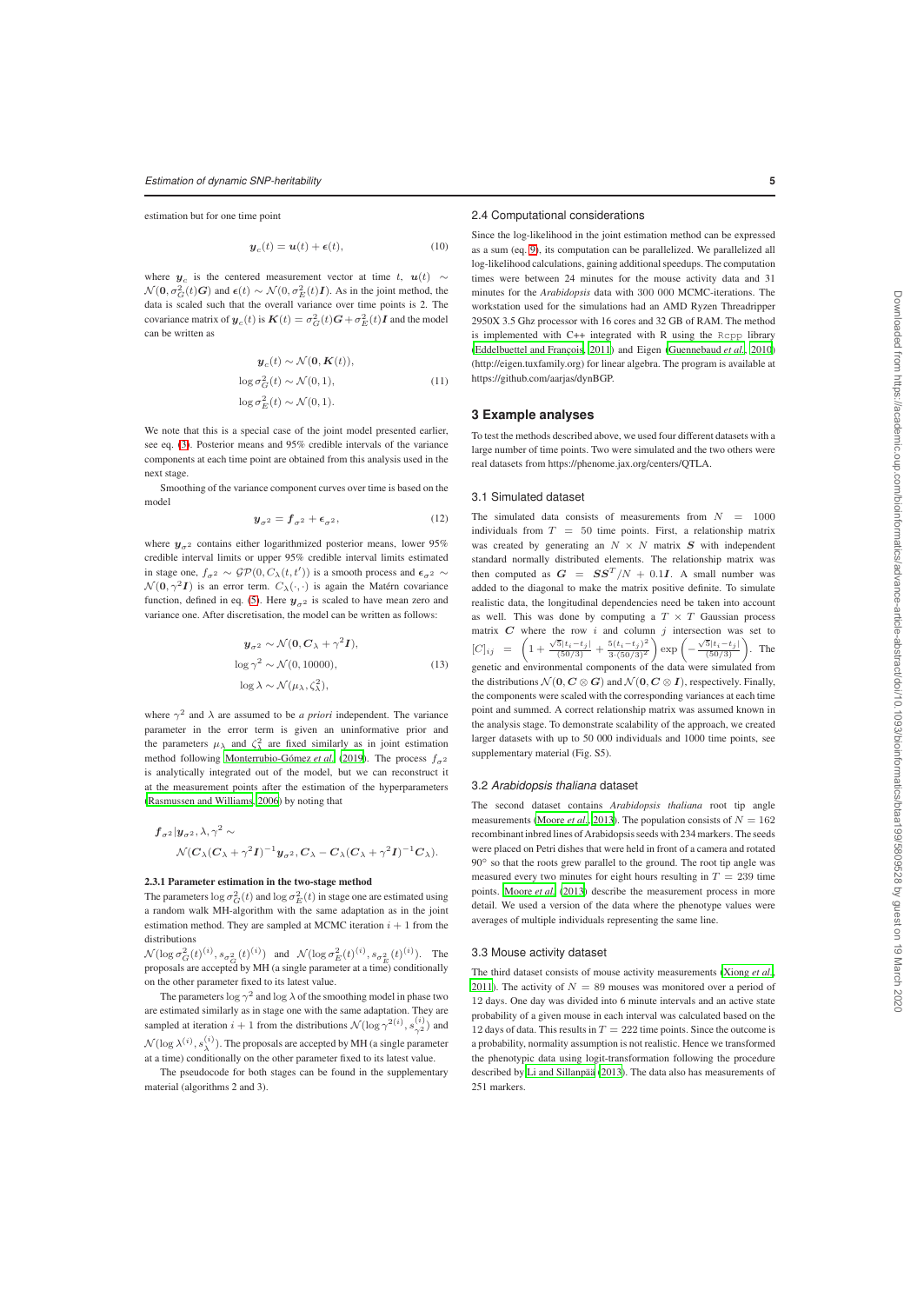estimation but for one time point

$$
\boldsymbol{y}_c(t) = \boldsymbol{u}(t) + \boldsymbol{\epsilon}(t),\tag{10}
$$

where  $y_c$  is the centered measurement vector at time t,  $u(t) \sim$  $\mathcal{N}(\mathbf{0}, \sigma_G^2(t)G)$  and  $\epsilon(t) \sim \mathcal{N}(0, \sigma_E^2(t)I)$ . As in the joint method, the data is scaled such that the overall variance over time points is 2. The covariance matrix of  $y_c(t)$  is  $K(t) = \sigma_G^2(t)G + \sigma_E^2(t)I$  and the model can be written as

$$
\mathbf{y}_c(t) \sim \mathcal{N}(\mathbf{0}, \mathbf{K}(t)),
$$
  

$$
\log \sigma_G^2(t) \sim \mathcal{N}(0, 1),
$$
  

$$
\log \sigma_E^2(t) \sim \mathcal{N}(0, 1).
$$
 (11)

We note that this is a special case of the joint model presented earlier, see eq. (3). Posterior means and 95% credible intervals of the variance components at each time point are obtained from this analysis used in the next stage.

Smoothing of the variance component curves over time is based on the model

$$
\mathbf{y}_{\sigma^2} = \mathbf{f}_{\sigma^2} + \boldsymbol{\epsilon}_{\sigma^2},\tag{12}
$$

where  $y_{\sigma^2}$  contains either logarithmized posterior means, lower 95% credible interval limits or upper 95% credible interval limits estimated in stage one,  $f_{\sigma^2} \sim \mathcal{GP}(0, C_\lambda(t, t'))$  is a smooth process and  $\epsilon_{\sigma^2} \sim$  $\mathcal{N}(0, \gamma^2 I)$  is an error term.  $C_{\lambda}(\cdot, \cdot)$  is again the Matérn covariance function, defined in eq. (5). Here  $y_{\sigma^2}$  is scaled to have mean zero and variance one. After discretisation, the model can be written as follows:

$$
y_{\sigma^2} \sim \mathcal{N}(0, C_{\lambda} + \gamma^2 I),
$$
  
\n
$$
\log \gamma^2 \sim \mathcal{N}(0, 10000),
$$
  
\n
$$
\log \lambda \sim \mathcal{N}(\mu_{\lambda}, \zeta_{\lambda}^2),
$$
\n(13)

where  $\gamma^2$  and  $\lambda$  are assumed to be *a priori* independent. The variance parameter in the error term is given an uninformative prior and the parameters  $\mu_{\lambda}$  and  $\zeta_{\lambda}^2$  are fixed similarly as in joint estimation method following Monterrubio-Gómez *et al.* (2019). The process  $f_{\sigma^2}$ is analytically integrated out of the model, but we can reconstruct it at the measurement points after the estimation of the hyperparameters (Rasmussen and Williams, 2006) by noting that

$$
f_{\sigma^2}|y_{\sigma^2}, \lambda, \gamma^2 \sim
$$
  
 
$$
\mathcal{N}(C_{\lambda}(C_{\lambda} + \gamma^2 I)^{-1} y_{\sigma^2}, C_{\lambda} - C_{\lambda}(C_{\lambda} + \gamma^2 I)^{-1} C_{\lambda}).
$$

#### 2.3.1 Parameter estimation in the two-stage method

The parameters  $\log \sigma_G^2(t)$  and  $\log \sigma_E^2(t)$  in stage one are estimated using a random walk MH-algorithm with the same adaptation as in the joint estimation method. They are sampled at MCMC iteration  $i + 1$  from the distributions

 $\mathcal{N}(\log \sigma_G^2(t)^{(i)}, s_{\sigma_G^2}(t)^{(i)})$  and  $\mathcal{N}(\log \sigma_E^2(t)^{(i)}, s_{\sigma_E^2}(t)^{(i)})$ . The proposals are accepted by MH (a single parameter at a time) conditionally on the other parameter fixed to its latest value.

The parameters  $\log \gamma^2$  and  $\log \lambda$  of the smoothing model in phase two are estimated similarly as in stage one with the same adaptation. They are sampled at iteration  $i + 1$  from the distributions  $\mathcal{N}(\log \gamma^{2(i)}, s_{\gamma^2}^{(i)})$  and  $\mathcal{N}(\log \lambda^{(i)}, s_\lambda^{(i)})$ . The proposals are accepted by MH (a single parameter at a time) conditionally on the other parameter fixed to its latest value.

The pseudocode for both stages can be found in the supplementary material (algorithms 2 and 3).

#### 2.4 Computational considerations

Since the log-likelihood in the joint estimation method can be expressed as a sum (eq. 9), its computation can be parallelized. We parallelized all log-likelihood calculations, gaining additional speedups. The computation times were between 24 minutes for the mouse activity data and 31 minutes for the *Arabidopsis* data with 300 000 MCMC-iterations. The workstation used for the simulations had an AMD Ryzen Threadripper 2950X 3.5 Ghz processor with 16 cores and 32 GB of RAM. The method is implemented with C++ integrated with R using the Rcpp library (Eddelbuettel and François, 2011) and Eigen (Guennebaud *et al.*, 2010) (http://eigen.tuxfamily.org) for linear algebra. The program is available at https://github.com/aarjas/dynBGP.

#### **3 Example analyses**

To test the methods described above, we used four different datasets with a large number of time points. Two were simulated and the two others were real datasets from https://phenome.jax.org/centers/QTLA.

#### 3.1 Simulated dataset

The simulated data consists of measurements from  $N = 1000$ individuals from  $T = 50$  time points. First, a relationship matrix was created by generating an  $N \times N$  matrix  $S$  with independent standard normally distributed elements. The relationship matrix was then computed as  $G = SS^T/N + 0.1I$ . A small number was added to the diagonal to make the matrix positive definite. To simulate realistic data, the longitudinal dependencies need be taken into account as well. This was done by computing a  $T \times T$  Gaussian process matrix  $C$  where the row  $i$  and column  $j$  intersection was set to  $[C]_{ij} = \left(1 + \frac{\sqrt{5}|t_i-t_j|}{(50/3)} + \frac{5(t_i-t_j)^2}{3\cdot(50/3)^2}\right)$  $3\cdot(50/3)^2$  $\bigg) \exp \bigg( -\frac{\sqrt{5} |t_i-t_j|}{(50/3)}$  $\big)$ . The genetic and environmental components of the data were simulated from the distributions  $\mathcal{N}(\mathbf{0}, \mathbf{C} \otimes \mathbf{G})$  and  $\mathcal{N}(\mathbf{0}, \mathbf{C} \otimes \mathbf{I})$ , respectively. Finally, the components were scaled with the corresponding variances at each time point and summed. A correct relationship matrix was assumed known in the analysis stage. To demonstrate scalability of the approach, we created larger datasets with up to 50 000 individuals and 1000 time points, see supplementary material (Fig. S5).

#### 3.2 *Arabidopsis thaliana* dataset

The second dataset contains *Arabidopsis thaliana* root tip angle measurements (Moore *et al.*, 2013). The population consists of  $N = 162$ recombinant inbred lines of Arabidopsis seeds with 234 markers. The seeds were placed on Petri dishes that were held in front of a camera and rotated 90◦ so that the roots grew parallel to the ground. The root tip angle was measured every two minutes for eight hours resulting in  $T = 239$  time points. Moore *et al.* (2013) describe the measurement process in more detail. We used a version of the data where the phenotype values were averages of multiple individuals representing the same line.

#### 3.3 Mouse activity dataset

The third dataset consists of mouse activity measurements (Xiong *et al.*, 2011). The activity of  $N = 89$  mouses was monitored over a period of 12 days. One day was divided into 6 minute intervals and an active state probability of a given mouse in each interval was calculated based on the 12 days of data. This results in  $T = 222$  time points. Since the outcome is a probability, normality assumption is not realistic. Hence we transformed the phenotypic data using logit-transformation following the procedure described by Li and Sillanpää (2013). The data also has measurements of 251 markers.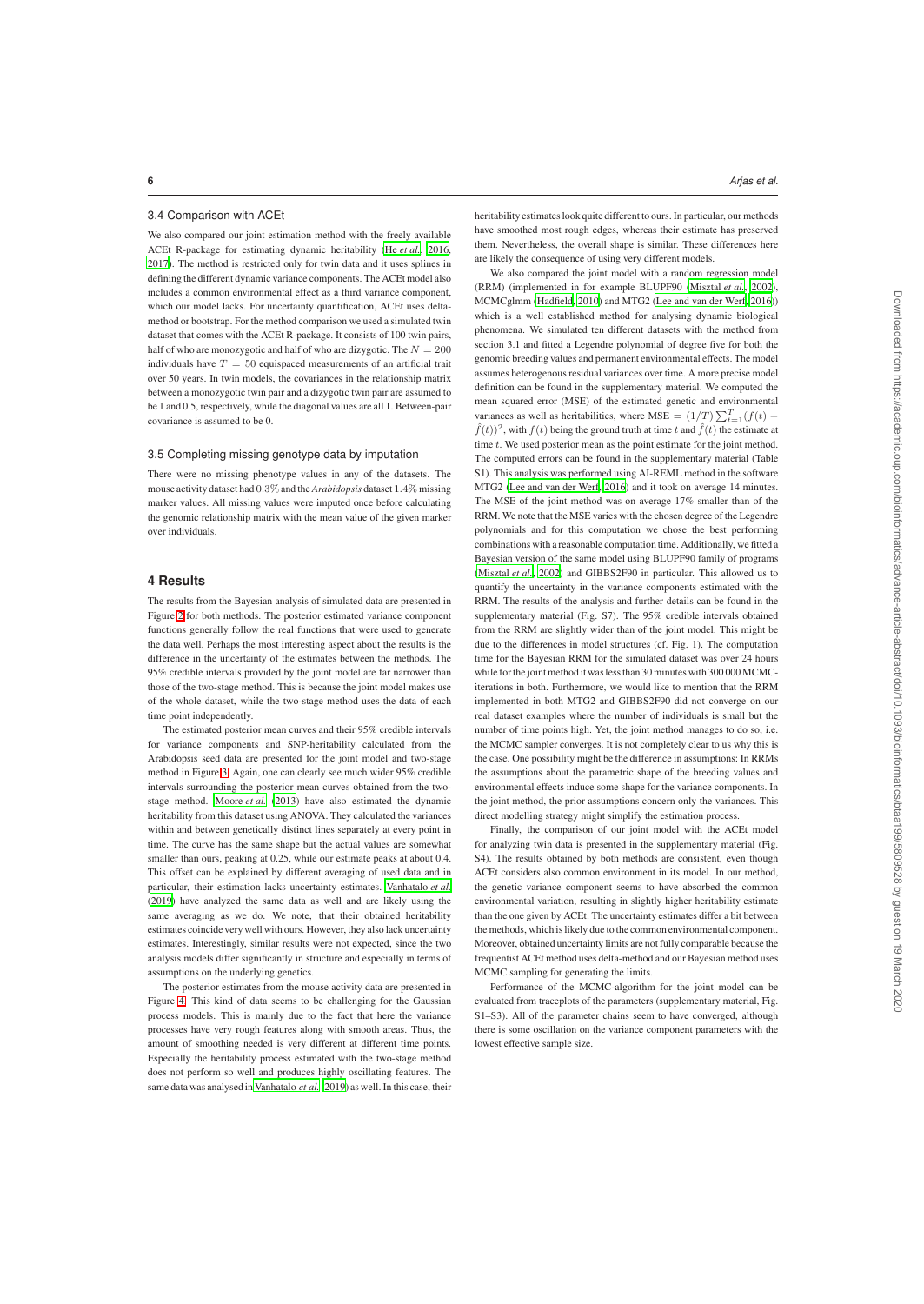## 3.4 Comparison with ACEt

We also compared our joint estimation method with the freely available ACEt R-package for estimating dynamic heritability (He *et al.*, 2016, 2017). The method is restricted only for twin data and it uses splines in defining the different dynamic variance components. The ACEt model also includes a common environmental effect as a third variance component, which our model lacks. For uncertainty quantification, ACEt uses deltamethod or bootstrap. For the method comparison we used a simulated twin dataset that comes with the ACEt R-package. It consists of 100 twin pairs, half of who are monozygotic and half of who are dizygotic. The  $N=200\,$ individuals have  $T = 50$  equispaced measurements of an artificial trait over 50 years. In twin models, the covariances in the relationship matrix between a monozygotic twin pair and a dizygotic twin pair are assumed to be 1 and 0.5, respectively, while the diagonal values are all 1. Between-pair covariance is assumed to be 0.

#### 3.5 Completing missing genotype data by imputation

There were no missing phenotype values in any of the datasets. The mouse activity dataset had 0.3% and the *Arabidopsis* dataset 1.4% missing marker values. All missing values were imputed once before calculating the genomic relationship matrix with the mean value of the given marker over individuals.

# **4 Results**

The results from the Bayesian analysis of simulated data are presented in Figure 2 for both methods. The posterior estimated variance component functions generally follow the real functions that were used to generate the data well. Perhaps the most interesting aspect about the results is the difference in the uncertainty of the estimates between the methods. The 95% credible intervals provided by the joint model are far narrower than those of the two-stage method. This is because the joint model makes use of the whole dataset, while the two-stage method uses the data of each time point independently.

The estimated posterior mean curves and their 95% credible intervals for variance components and SNP-heritability calculated from the Arabidopsis seed data are presented for the joint model and two-stage method in Figure 3. Again, one can clearly see much wider 95% credible intervals surrounding the posterior mean curves obtained from the twostage method. Moore *et al.* (2013) have also estimated the dynamic heritability from this dataset using ANOVA. They calculated the variances within and between genetically distinct lines separately at every point in time. The curve has the same shape but the actual values are somewhat smaller than ours, peaking at 0.25, while our estimate peaks at about 0.4. This offset can be explained by different averaging of used data and in particular, their estimation lacks uncertainty estimates. Vanhatalo *et al.* (2019) have analyzed the same data as well and are likely using the same averaging as we do. We note, that their obtained heritability estimates coincide very well with ours. However, they also lack uncertainty estimates. Interestingly, similar results were not expected, since the two analysis models differ significantly in structure and especially in terms of assumptions on the underlying genetics.

The posterior estimates from the mouse activity data are presented in Figure 4. This kind of data seems to be challenging for the Gaussian process models. This is mainly due to the fact that here the variance processes have very rough features along with smooth areas. Thus, the amount of smoothing needed is very different at different time points. Especially the heritability process estimated with the two-stage method does not perform so well and produces highly oscillating features. The same data was analysed in Vanhatalo *et al.*(2019) as well. In this case, their heritability estimates look quite different to ours. In particular, our methods have smoothed most rough edges, whereas their estimate has preserved them. Nevertheless, the overall shape is similar. These differences here are likely the consequence of using very different models.

We also compared the joint model with a random regression model (RRM) (implemented in for example BLUPF90 (Misztal *et al.*, 2002), MCMCglmm (Hadfield, 2010) and MTG2 (Lee and van der Werf, 2016)) which is a well established method for analysing dynamic biological phenomena. We simulated ten different datasets with the method from section 3.1 and fitted a Legendre polynomial of degree five for both the genomic breeding values and permanent environmental effects. The model assumes heterogenous residual variances over time. A more precise model definition can be found in the supplementary material. We computed the mean squared error (MSE) of the estimated genetic and environmental variances as well as heritabilities, where MSE =  $(1/T) \sum_{t=1}^{T} (f(t) \hat{f}(t)$ <sup>2</sup>, with  $f(t)$  being the ground truth at time t and  $\hat{f}(t)$  the estimate at time  $t$ . We used posterior mean as the point estimate for the joint method. The computed errors can be found in the supplementary material (Table S1). This analysis was performed using AI-REML method in the software MTG2 (Lee and van der Werf, 2016) and it took on average 14 minutes. The MSE of the joint method was on average 17% smaller than of the RRM. We note that the MSE varies with the chosen degree of the Legendre polynomials and for this computation we chose the best performing combinations with a reasonable computation time. Additionally, we fitted a Bayesian version of the same model using BLUPF90 family of programs (Misztal *et al.*, 2002) and GIBBS2F90 in particular. This allowed us to quantify the uncertainty in the variance components estimated with the RRM. The results of the analysis and further details can be found in the supplementary material (Fig. S7). The 95% credible intervals obtained from the RRM are slightly wider than of the joint model. This might be due to the differences in model structures (cf. Fig. 1). The computation time for the Bayesian RRM for the simulated dataset was over 24 hours while for the joint method it was less than 30 minutes with 300 000 MCMCiterations in both. Furthermore, we would like to mention that the RRM implemented in both MTG2 and GIBBS2F90 did not converge on our real dataset examples where the number of individuals is small but the number of time points high. Yet, the joint method manages to do so, i.e. the MCMC sampler converges. It is not completely clear to us why this is the case. One possibility might be the difference in assumptions: In RRMs the assumptions about the parametric shape of the breeding values and environmental effects induce some shape for the variance components. In the joint method, the prior assumptions concern only the variances. This direct modelling strategy might simplify the estimation process.

Finally, the comparison of our joint model with the ACEt model for analyzing twin data is presented in the supplementary material (Fig. S4). The results obtained by both methods are consistent, even though ACEt considers also common environment in its model. In our method, the genetic variance component seems to have absorbed the common environmental variation, resulting in slightly higher heritability estimate than the one given by ACEt. The uncertainty estimates differ a bit between the methods, which is likely due to the common environmental component. Moreover, obtained uncertainty limits are not fully comparable because the frequentist ACEt method uses delta-method and our Bayesian method uses MCMC sampling for generating the limits.

Performance of the MCMC-algorithm for the joint model can be evaluated from traceplots of the parameters (supplementary material, Fig. S1–S3). All of the parameter chains seem to have converged, although there is some oscillation on the variance component parameters with the lowest effective sample size.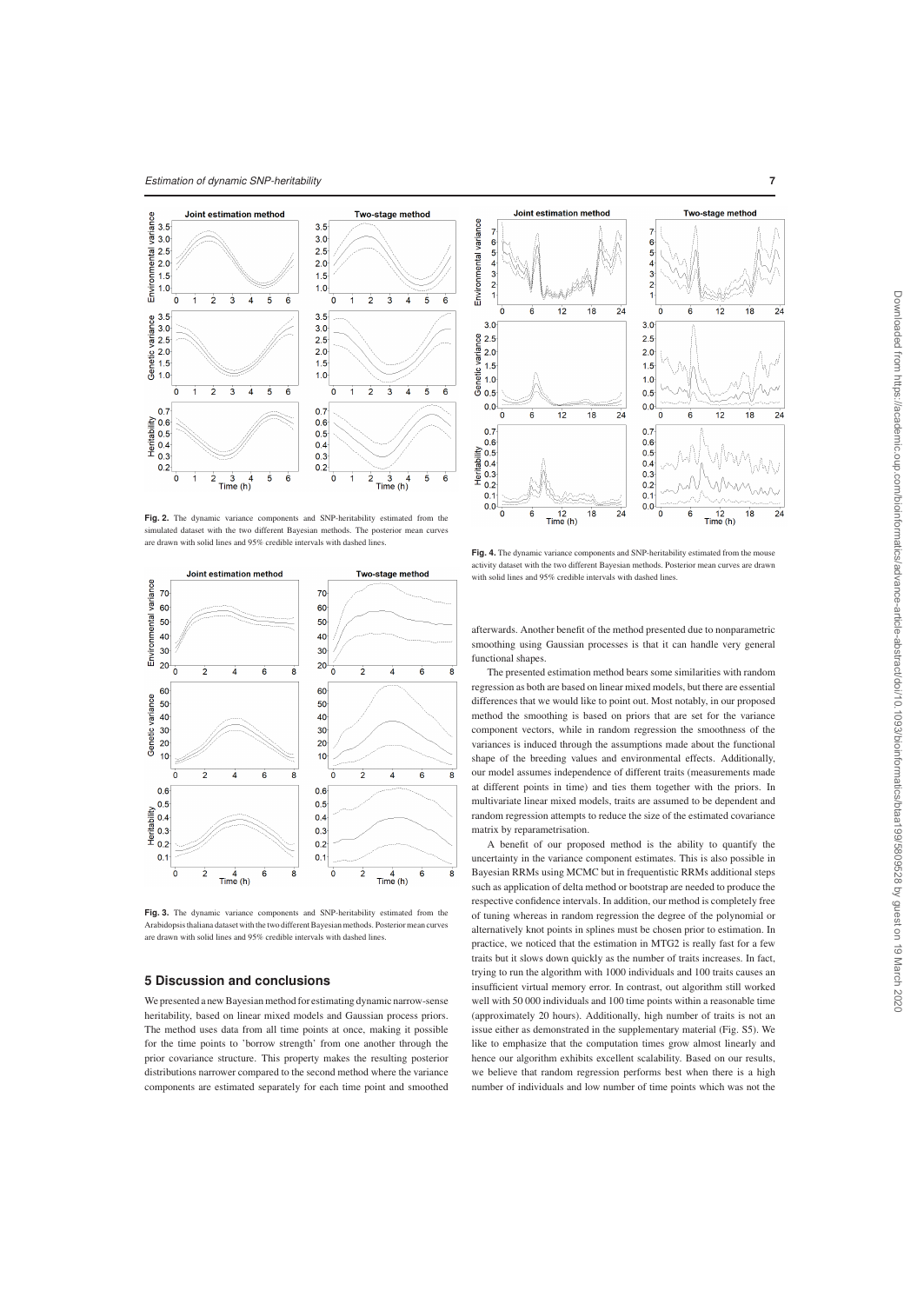

Fig. 2. The dynamic variance components and SNP-heritability estimated from the sulated dataset with the two different Bayesian methods. The posterior mean curves are drawn with solid lines and 95% credible intervals with dashed lines.



**Fig. 3.** The dynamic variance components and SNP-heritability estimated from the Arabidopsis thaliana dataset with the two different Bayesian methods. Posterior mean curves are drawn with solid lines and 95% credible intervals with dashed lines.

#### **5 Discussion and conclusions**

We presented a new Bayesian method for estimating dynamic narrow-sense heritability, based on linear mixed models and Gaussian process priors. The method uses data from all time points at once, making it possible for the time points to 'borrow strength' from one another through the prior covariance structure. This property makes the resulting posterior distributions narrower compared to the second method where the variance components are estimated separately for each time point and smoothed



Fig. 4. The dynamic variance components and SNP-heritability estimated from the mouse activity dataset with the two different Bayesian methods. Posterior mean curves are drawn with solid lines and 95% credible intervals with dashed lines.

afterwards. Another benefit of the method presented due to nonparametric smoothing using Gaussian processes is that it can handle very general functional shapes.

The presented estimation method bears some similarities with random regression as both are based on linear mixed models, but there are essential differences that we would like to point out. Most notably, in our proposed method the smoothing is based on priors that are set for the variance component vectors, while in random regression the smoothness of the variances is induced through the assumptions made about the functional shape of the breeding values and environmental effects. Additionally, our model assumes independence of different traits (measurements made at different points in time) and ties them together with the priors. In multivariate linear mixed models, traits are assumed to be dependent and random regression attempts to reduce the size of the estimated covariance matrix by reparametrisation.

A benefit of our proposed method is the ability to quantify the uncertainty in the variance component estimates. This is also possible in Bayesian RRMs using MCMC but in frequentistic RRMs additional steps such as application of delta method or bootstrap are needed to produce the respective confidence intervals. In addition, our method is completely free of tuning whereas in random regression the degree of the polynomial or alternatively knot points in splines must be chosen prior to estimation. In practice, we noticed that the estimation in MTG2 is really fast for a few traits but it slows down quickly as the number of traits increases. In fact, trying to run the algorithm with 1000 individuals and 100 traits causes an insufficient virtual memory error. In contrast, out algorithm still worked well with 50 000 individuals and 100 time points within a reasonable time (approximately 20 hours). Additionally, high number of traits is not an issue either as demonstrated in the supplementary material (Fig. S5). We like to emphasize that the computation times grow almost linearly and hence our algorithm exhibits excellent scalability. Based on our results, we believe that random regression performs best when there is a high number of individuals and low number of time points which was not the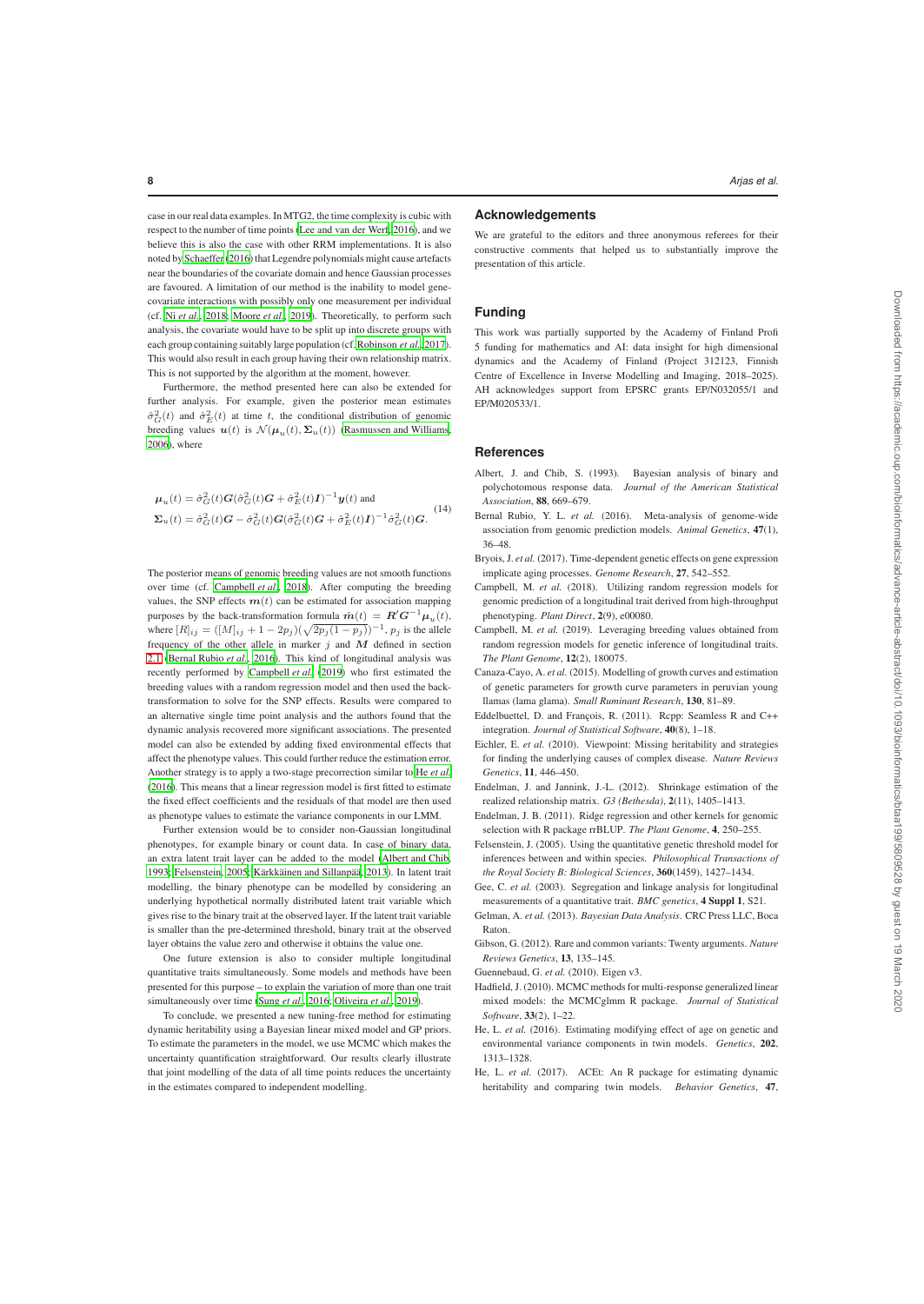case in our real data examples. In MTG2, the time complexity is cubic with respect to the number of time points (Lee and van der Werf, 2016), and we believe this is also the case with other RRM implementations. It is also noted by Schaeffer (2016) that Legendre polynomials might cause artefacts near the boundaries of the covariate domain and hence Gaussian processes are favoured. A limitation of our method is the inability to model genecovariate interactions with possibly only one measurement per individual (cf. Ni *et al.*, 2018; Moore *et al.*, 2019). Theoretically, to perform such analysis, the covariate would have to be split up into discrete groups with each group containing suitably large population (cf. Robinson *et al.*, 2017). This would also result in each group having their own relationship matrix. This is not supported by the algorithm at the moment, however.

Furthermore, the method presented here can also be extended for further analysis. For example, given the posterior mean estimates  $\hat{\sigma}_G^2(t)$  and  $\hat{\sigma}_E^2(t)$  at time t, the conditional distribution of genomic breeding values  $u(t)$  is  $\mathcal{N}(\mu_u(t), \Sigma_u(t))$  (Rasmussen and Williams, 2006), where

$$
\mu_u(t) = \hat{\sigma}_G^2(t)G(\hat{\sigma}_G^2(t)G + \hat{\sigma}_E^2(t)I)^{-1}\mathbf{y}(t) \text{ and}
$$
  

$$
\Sigma_u(t) = \hat{\sigma}_G^2(t)G - \hat{\sigma}_G^2(t)G(\hat{\sigma}_G^2(t)G + \hat{\sigma}_E^2(t)I)^{-1}\hat{\sigma}_G^2(t)G.
$$
 (14)

The posterior means of genomic breeding values are not smooth functions over time (cf. Campbell *et al.*, 2018). After computing the breeding values, the SNP effects  $m(t)$  can be estimated for association mapping purposes by the back-transformation formula  $\hat{\boldsymbol{m}}(t) = \boldsymbol{R}' \boldsymbol{G}^{-1} \boldsymbol{\mu}_u(t)$ , where  $[R]_{ij} = ([M]_{ij} + 1 - 2p_j)(\sqrt{2p_j(1 - p_j)})^{-1}$ ,  $p_j$  is the allele frequency of the other allele in marker  $j$  and  $M$  defined in section 2.1 (Bernal Rubio *et al.*, 2016). This kind of longitudinal analysis was recently performed by Campbell *et al.* (2019) who first estimated the breeding values with a random regression model and then used the backtransformation to solve for the SNP effects. Results were compared to an alternative single time point analysis and the authors found that the dynamic analysis recovered more significant associations. The presented model can also be extended by adding fixed environmental effects that affect the phenotype values. This could further reduce the estimation error. Another strategy is to apply a two-stage precorrection similar to He *et al.* (2016). This means that a linear regression model is first fitted to estimate the fixed effect coefficients and the residuals of that model are then used as phenotype values to estimate the variance components in our LMM.

Further extension would be to consider non-Gaussian longitudinal phenotypes, for example binary or count data. In case of binary data, an extra latent trait layer can be added to the model (Albert and Chib, 1993; Felsenstein, 2005; Kärkkäinen and Sillanpää, 2013). In latent trait modelling, the binary phenotype can be modelled by considering an underlying hypothetical normally distributed latent trait variable which gives rise to the binary trait at the observed layer. If the latent trait variable is smaller than the pre-determined threshold, binary trait at the observed layer obtains the value zero and otherwise it obtains the value one.

One future extension is also to consider multiple longitudinal quantitative traits simultaneously. Some models and methods have been presented for this purpose – to explain the variation of more than one trait simultaneously over time (Sung *et al.*, 2016; Oliveira *et al.*, 2019).

To conclude, we presented a new tuning-free method for estimating dynamic heritability using a Bayesian linear mixed model and GP priors. To estimate the parameters in the model, we use MCMC which makes the uncertainty quantification straightforward. Our results clearly illustrate that joint modelling of the data of all time points reduces the uncertainty in the estimates compared to independent modelling.

## **Acknowledgements**

We are grateful to the editors and three anonymous referees for their constructive comments that helped us to substantially improve the presentation of this article.

## **Funding**

This work was partially supported by the Academy of Finland Profi 5 funding for mathematics and AI: data insight for high dimensional dynamics and the Academy of Finland (Project 312123, Finnish Centre of Excellence in Inverse Modelling and Imaging, 2018–2025). AH acknowledges support from EPSRC grants EP/N032055/1 and EP/M020533/1.

## **References**

- Albert, J. and Chib, S. (1993). Bayesian analysis of binary and polychotomous response data. *Journal of the American Statistical Association*, 88, 669–679.
- Bernal Rubio, Y. L. *et al.* (2016). Meta-analysis of genome-wide association from genomic prediction models. *Animal Genetics*, 47(1), 36–48.
- Bryois, J. *et al.* (2017). Time-dependent genetic effects on gene expression implicate aging processes. *Genome Research*, 27, 542–552.
- Campbell, M. *et al.* (2018). Utilizing random regression models for genomic prediction of a longitudinal trait derived from high-throughput phenotyping. *Plant Direct*, 2(9), e00080.
- Campbell, M. *et al.* (2019). Leveraging breeding values obtained from random regression models for genetic inference of longitudinal traits. *The Plant Genome*, 12(2), 180075.
- Canaza-Cayo, A. *et al.* (2015). Modelling of growth curves and estimation of genetic parameters for growth curve parameters in peruvian young llamas (lama glama). *Small Ruminant Research*, 130, 81–89.
- Eddelbuettel, D. and François, R. (2011). Rcpp: Seamless R and C++ integration. *Journal of Statistical Software*, 40(8), 1–18.
- Eichler, E. *et al.* (2010). Viewpoint: Missing heritability and strategies for finding the underlying causes of complex disease. *Nature Reviews Genetics*, 11, 446–450.
- Endelman, J. and Jannink, J.-L. (2012). Shrinkage estimation of the realized relationship matrix. *G3 (Bethesda)*, 2(11), 1405–1413.
- Endelman, J. B. (2011). Ridge regression and other kernels for genomic selection with R package rrBLUP. *The Plant Genome*, 4, 250–255.
- Felsenstein, J. (2005). Using the quantitative genetic threshold model for inferences between and within species. *Philosophical Transactions of the Royal Society B: Biological Sciences*, 360(1459), 1427–1434.
- Gee, C. *et al.* (2003). Segregation and linkage analysis for longitudinal measurements of a quantitative trait. *BMC genetics*, 4 Suppl 1, S21.
- Gelman, A. *et al.* (2013). *Bayesian Data Analysis*. CRC Press LLC, Boca Raton.
- Gibson, G. (2012). Rare and common variants: Twenty arguments. *Nature Reviews Genetics*, 13, 135–145.

Guennebaud, G. *et al.* (2010). Eigen v3.

- Hadfield, J. (2010). MCMC methods for multi-response generalized linear mixed models: the MCMCglmm R package. *Journal of Statistical Software*, 33(2), 1–22.
- He, L. *et al.* (2016). Estimating modifying effect of age on genetic and environmental variance components in twin models. *Genetics*, 202, 1313–1328.
- He, L. et al. (2017). ACEt: An R package for estimating dynamic heritability and comparing twin models. *Behavior Genetics*, 47,